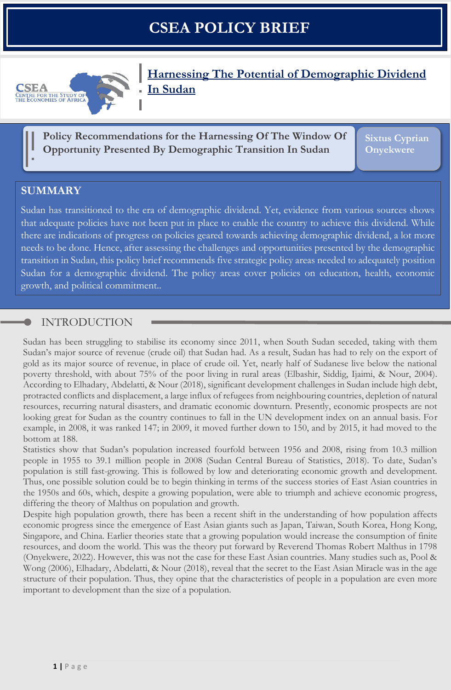# **CSEA POLICY BRIEF**



**Harnessing The Potential of Demographic Dividend In Sudan**

**Policy Recommendations for the Harnessing Of The Window Of Opportunity Presented By Demographic Transition In Sudan**

**Sixtus Cyprian Onyekwere**

# **SUMMARY**

Sudan has transitioned to the era of demographic dividend. Yet, evidence from various sources shows that adequate policies have not been put in place to enable the country to achieve this dividend. While there are indications of progress on policies geared towards achieving demographic dividend, a lot more needs to be done. Hence, after assessing the challenges and opportunities presented by the demographic transition in Sudan, this policy brief recommends five strategic policy areas needed to adequately position Sudan for a demographic dividend. The policy areas cover policies on education, health, economic growth, and political commitment..

# INTRODUCTION

Sudan has been struggling to stabilise its economy since 2011, when South Sudan seceded, taking with them Sudan's major source of revenue (crude oil) that Sudan had. As a result, Sudan has had to rely on the export of gold as its major source of revenue, in place of crude oil. Yet, nearly half of Sudanese live below the national poverty threshold, with about 75% of the poor living in rural areas (Elbashir, Siddig, Ijaimi, & Nour, 2004). According to Elhadary, Abdelatti, & Nour (2018), significant development challenges in Sudan include high debt, protracted conflicts and displacement, a large influx of refugees from neighbouring countries, depletion of natural resources, recurring natural disasters, and dramatic economic downturn. Presently, economic prospects are not looking great for Sudan as the country continues to fall in the UN development index on an annual basis. For example, in 2008, it was ranked 147; in 2009, it moved further down to 150, and by 2015, it had moved to the bottom at 188.

Statistics show that Sudan's population increased fourfold between 1956 and 2008, rising from 10.3 million people in 1955 to 39.1 million people in 2008 (Sudan Central Bureau of Statistics, 2018). To date, Sudan's population is still fast-growing. This is followed by low and deteriorating economic growth and development. Thus, one possible solution could be to begin thinking in terms of the success stories of East Asian countries in the 1950s and 60s, which, despite a growing population, were able to triumph and achieve economic progress, differing the theory of Malthus on population and growth.

Despite high population growth, there has been a recent shift in the understanding of how population affects economic progress since the emergence of East Asian giants such as Japan, Taiwan, South Korea, Hong Kong, Singapore, and China. Earlier theories state that a growing population would increase the consumption of finite resources, and doom the world. This was the theory put forward by Reverend Thomas Robert Malthus in 1798 (Onyekwere, 2022). However, this was not the case for these East Asian countries. Many studies such as, Pool & Wong (2006), Elhadary, Abdelatti, & Nour (2018), reveal that the secret to the East Asian Miracle was in the age structure of their population. Thus, they opine that the characteristics of people in a population are even more important to development than the size of a population.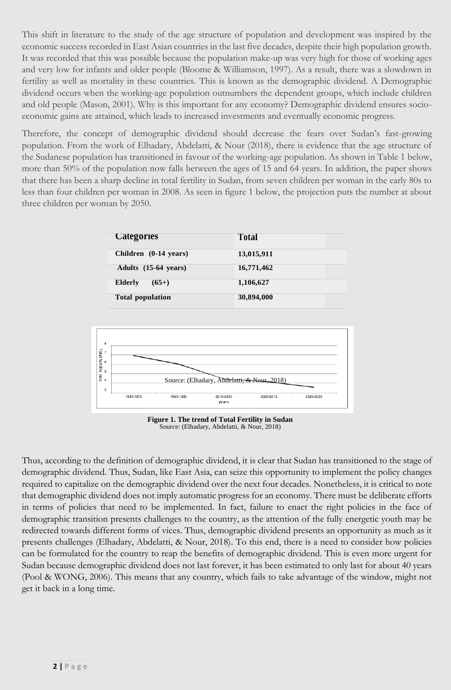This shift in literature to the study of the age structure of population and development was inspired by the economic success recorded in East Asian countries in the last five decades, despite their high population growth. It was recorded that this was possible because the population make-up was very high for those of working ages and very low for infants and older people (Bloome & Williamson, 1997). As a result, there was a slowdown in fertility as well as mortality in these countries. This is known as the demographic dividend. A Demographic dividend occurs when the working-age population outnumbers the dependent groups, which include children and old people (Mason, 2001). Why is this important for any economy? Demographic dividend ensures socioeconomic gains are attained, which leads to increased investments and eventually economic progress.

Therefore, the concept of demographic dividend should decrease the fears over Sudan's fast-growing population. From the work of Elhadary, Abdelatti, & Nour (2018), there is evidence that the age structure of the Sudanese population has transitioned in favour of the working-age population. As shown in Table 1 below, more than 50% of the population now falls between the ages of 15 and 64 years. In addition, the paper shows that there has been a sharp decline in total fertility in Sudan, from seven children per woman in the early 80s to less than four children per woman in 2008. As seen in figure 1 below, the projection puts the number at about three children per woman by 2050.

| <b>Categories</b>       | <b>Total</b> |  |
|-------------------------|--------------|--|
| Children (0-14 years)   | 13,015,911   |  |
| Adults (15-64 years)    | 16,771,462   |  |
| Elderly<br>$(65+)$      | 1,106,627    |  |
| <b>Total population</b> | 30,894,000   |  |



**Figure 1. The trend of Total Fertility in Sudan** Source: (Elhadary, Abdelatti, & Nour, 2018)

Thus, according to the definition of demographic dividend, it is clear that Sudan has transitioned to the stage of demographic dividend. Thus, Sudan, like East Asia, can seize this opportunity to implement the policy changes required to capitalize on the demographic dividend over the next four decades. Nonetheless, it is critical to note that demographic dividend does not imply automatic progress for an economy. There must be deliberate efforts in terms of policies that need to be implemented. In fact, failure to enact the right policies in the face of demographic transition presents challenges to the country, as the attention of the fully energetic youth may be redirected towards different forms of vices. Thus, demographic dividend presents an opportunity as much as it presents challenges (Elhadary, Abdelatti, & Nour, 2018). To this end, there is a need to consider how policies can be formulated for the country to reap the benefits of demographic dividend. This is even more urgent for Sudan because demographic dividend does not last forever, it has been estimated to only last for about 40 years (Pool & WONG, 2006). This means that any country, which fails to take advantage of the window, might not get it back in a long time.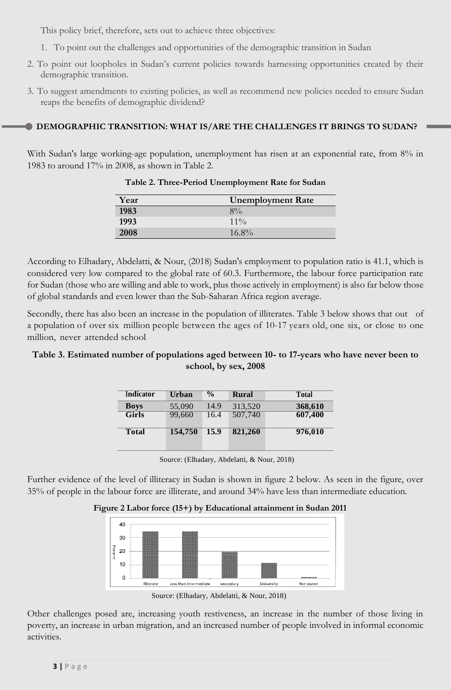This policy brief, therefore, sets out to achieve three objectives:

- 1. To point out the challenges and opportunities of the demographic transition in Sudan
- 2. To point out loopholes in Sudan's current policies towards harnessing opportunities created by their demographic transition.
- 3. To suggest amendments to existing policies, as well as recommend new policies needed to ensure Sudan reaps the benefits of demographic dividend?

#### **DEMOGRAPHIC TRANSITION: WHAT IS/ARE THE CHALLENGES IT BRINGS TO SUDAN?**

With Sudan's large working-age population, unemployment has risen at an exponential rate, from 8% in 1983 to around 17% in 2008, as shown in Table 2.

| Year | <b>Unemployment Rate</b> |
|------|--------------------------|
| 1983 | $8\%$                    |
| 1993 | $11\%$                   |
| 2008 | $16.8\%$                 |

**Table 2. Three-Period Unemployment Rate for Sudan**

According to Elhadary, Abdelatti, & Nour, (2018) Sudan's employment to population ratio is 41.1, which is considered very low compared to the global rate of 60.3. Furthermore, the labour force participation rate for Sudan (those who are willing and able to work, plus those actively in employment) is also far below those of global standards and even lower than the Sub-Saharan Africa region average.

Secondly, there has also been an increase in the population of illiterates. Table 3 below shows that out of a population of over six million people between the ages of 10-17 years old, one six, or close to one million, never attended school

#### **Table 3. Estimated number of populations aged between 10- to 17-years who have never been to school, by sex, 2008**

| Indicator    | Urban   | $\frac{0}{0}$ | Rural   | <b>Total</b> |
|--------------|---------|---------------|---------|--------------|
| <b>Boys</b>  | 55,090  | 14.9          | 313,520 | 368,610      |
| <b>Girls</b> | 99,660  | 16.4          | 507,740 | 607,400      |
| <b>Total</b> | 154,750 | 15.9          | 821,260 | 976,010      |
|              |         |               |         |              |

**1** Source: (Elhadary, Abdelatti, & Nour, 2018)

Further evidence of the level of illiteracy in Sudan is shown in figure 2 below. As seen in the figure, over 35% of people in the labour force are illiterate, and around 34% have less than intermediate education.

#### **Figure 2 Labor force (15+) by Educational attainment in Sudan 2011**



Source: (Elhadary, Abdelatti, & Nour, 2018)

Other challenges posed are, increasing youth restiveness, an increase in the number of those living in poverty, an increase in urban migration, and an increased number of people involved in informal economic activities.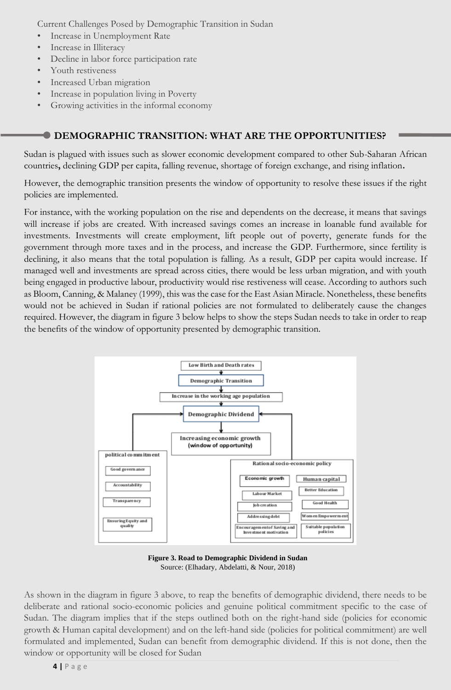Current Challenges Posed by Demographic Transition in Sudan

- Increase in Unemployment Rate
- Increase in Illiteracy
- Decline in labor force participation rate
- Youth restiveness
- Increased Urban migration
- Increase in population living in Poverty
- Growing activities in the informal economy

#### **DEMOGRAPHIC TRANSITION: WHAT ARE THE OPPORTUNITIES?**

Sudan is plagued with issues such as slower economic development compared to other Sub-Saharan African countries**,** declining GDP per capita, falling revenue, shortage of foreign exchange, and rising inflation**.** 

However, the demographic transition presents the window of opportunity to resolve these issues if the right policies are implemented.

For instance, with the working population on the rise and dependents on the decrease, it means that savings will increase if jobs are created. With increased savings comes an increase in loanable fund available for investments. Investments will create employment, lift people out of poverty, generate funds for the government through more taxes and in the process, and increase the GDP. Furthermore, since fertility is declining, it also means that the total population is falling. As a result, GDP per capita would increase. If managed well and investments are spread across cities, there would be less urban migration, and with youth being engaged in productive labour, productivity would rise restiveness will cease. According to authors such as Bloom, Canning, & Malaney (1999), this was the case for the East Asian Miracle. Nonetheless, these benefits would not be achieved in Sudan if rational policies are not formulated to deliberately cause the changes required. However, the diagram in figure 3 below helps to show the steps Sudan needs to take in order to reap the benefits of the window of opportunity presented by demographic transition.



**Figure 3. Road to Demographic Dividend in Sudan** Source: (Elhadary, Abdelatti, & Nour, 2018)

As shown in the diagram in figure 3 above, to reap the benefits of demographic dividend, there needs to be deliberate and rational socio-economic policies and genuine political commitment specific to the case of Sudan. The diagram implies that if the steps outlined both on the right-hand side (policies for economic growth & Human capital development) and on the left-hand side (policies for political commitment) are well formulated and implemented, Sudan can benefit from demographic dividend. If this is not done, then the window or opportunity will be closed for Sudan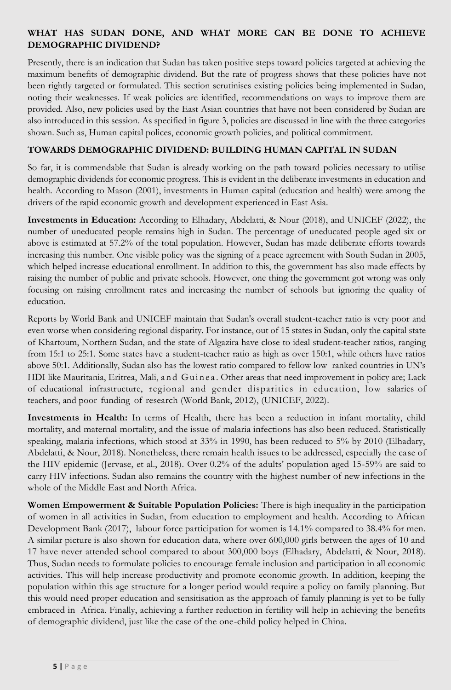### **WHAT HAS SUDAN DONE, AND WHAT MORE CAN BE DONE TO ACHIEVE DEMOGRAPHIC DIVIDEND?**

Presently, there is an indication that Sudan has taken positive steps toward policies targeted at achieving the maximum benefits of demographic dividend. But the rate of progress shows that these policies have not been rightly targeted or formulated. This section scrutinises existing policies being implemented in Sudan, noting their weaknesses. If weak policies are identified, recommendations on ways to improve them are provided. Also, new policies used by the East Asian countries that have not been considered by Sudan are also introduced in this session. As specified in figure 3, policies are discussed in line with the three categories shown. Such as, Human capital polices, economic growth policies, and political commitment.

#### **TOWARDS DEMOGRAPHIC DIVIDEND: BUILDING HUMAN CAPITAL IN SUDAN**

So far, it is commendable that Sudan is already working on the path toward policies necessary to utilise demographic dividends for economic progress. This is evident in the deliberate investments in education and health. According to Mason (2001), investments in Human capital (education and health) were among the drivers of the rapid economic growth and development experienced in East Asia.

**Investments in Education:** According to Elhadary, Abdelatti, & Nour (2018), and UNICEF (2022), the number of uneducated people remains high in Sudan. The percentage of uneducated people aged six or above is estimated at 57.2% of the total population. However, Sudan has made deliberate efforts towards increasing this number. One visible policy was the signing of a peace agreement with South Sudan in 2005, which helped increase educational enrollment. In addition to this, the government has also made effects by raising the number of public and private schools. However, one thing the government got wrong was only focusing on raising enrollment rates and increasing the number of schools but ignoring the quality of education.

Reports by World Bank and UNICEF maintain that Sudan's overall student-teacher ratio is very poor and even worse when considering regional disparity. For instance, out of 15 states in Sudan, only the capital state of Khartoum, Northern Sudan, and the state of Algazira have close to ideal student-teacher ratios, ranging from 15:1 to 25:1. Some states have a student-teacher ratio as high as over 150:1, while others have ratios above 50:1. Additionally, Sudan also has the lowest ratio compared to fellow low ranked countries in UN's HDI like Mauritania, Eritrea, Mali, a n d Guinea. Other areas that need improvement in policy are; Lack of educational infrastructure, regional and gender disparities in education, low salaries of teachers, and poor funding of research (World Bank, 2012), (UNICEF, 2022).

**Investments in Health:** In terms of Health, there has been a reduction in infant mortality, child mortality, and maternal mortality, and the issue of malaria infections has also been reduced. Statistically speaking, malaria infections, which stood at 33% in 1990, has been reduced to 5% by 2010 (Elhadary, Abdelatti, & Nour, 2018). Nonetheless, there remain health issues to be addressed, especially the case of the HIV epidemic (Jervase, et al., 2018). Over 0.2% of the adults' population aged 15-59% are said to carry HIV infections. Sudan also remains the country with the highest number of new infections in the whole of the Middle East and North Africa.

**Women Empowerment & Suitable Population Policies:** There is high inequality in the participation of women in all activities in Sudan, from education to employment and health. According to African Development Bank (2017), labour force participation for women is 14.1% compared to 38.4% for men. A similar picture is also shown for education data, where over 600,000 girls between the ages of 10 and 17 have never attended school compared to about 300,000 boys (Elhadary, Abdelatti, & Nour, 2018). Thus, Sudan needs to formulate policies to encourage female inclusion and participation in all economic activities. This will help increase productivity and promote economic growth. In addition, keeping the population within this age structure for a longer period would require a policy on family planning. But this would need proper education and sensitisation as the approach of family planning is yet to be fully embraced in Africa. Finally, achieving a further reduction in fertility will help in achieving the benefits of demographic dividend, just like the case of the one-child policy helped in China.